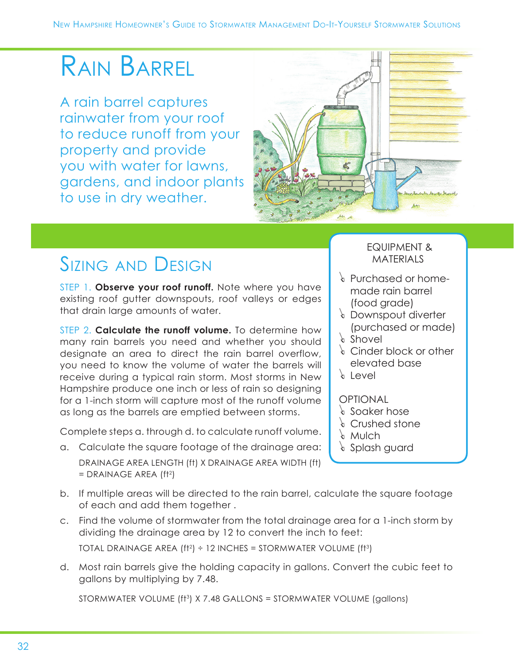# Rain Barrel

A rain barrel captures rainwater from your roof to reduce runoff from your property and provide you with water for lawns, gardens, and indoor plants to use in dry weather.



# Sizing and Design

STEP 1. **Observe your roof runoff.** Note where you have existing roof gutter downspouts, roof valleys or edges that drain large amounts of water.

STEP 2. **Calculate the runoff volume.** To determine how many rain barrels you need and whether you should designate an area to direct the rain barrel overflow, you need to know the volume of water the barrels will receive during a typical rain storm. Most storms in New Hampshire produce one inch or less of rain so designing for a 1-inch storm will capture most of the runoff volume as long as the barrels are emptied between storms.

Complete steps a. through d. to calculate runoff volume.

a. Calculate the square footage of the drainage area: DRAINAGE AREA LENGTH (ft) X DRAINAGE AREA WIDTH (ft)  $=$  DRAINAGE AREA (ft<sup>2</sup>)

#### EQUIPMENT & **MATERIALS**

- $\epsilon$  Purchased or homemade rain barrel (food grade)
- r Downspout diverter (purchased or made)
- $\frac{1}{2}$  Shovel
- $\&$  Cinder block or other elevated base
- $\frac{1}{2}$  Level

### **OPTIONAL**

- $\frac{1}{2}$  Soaker hose
- $\epsilon$  Crushed stone
- $\epsilon$  Mulch
- $\frac{1}{2}$  Splash guard
- b. If multiple areas will be directed to the rain barrel, calculate the square footage of each and add them together .
- c. Find the volume of stormwater from the total drainage area for a 1-inch storm by dividing the drainage area by 12 to convert the inch to feet: TOTAL DRAINAGE AREA  $(f1^2) \div 12$  INCHES = STORMWATER VOLUME  $(f1^3)$
- d. Most rain barrels give the holding capacity in gallons. Convert the cubic feet to gallons by multiplying by 7.48.

STORMWATER VOLUME (ft<sup>3</sup>) X 7.48 GALLONS = STORMWATER VOLUME (gallons)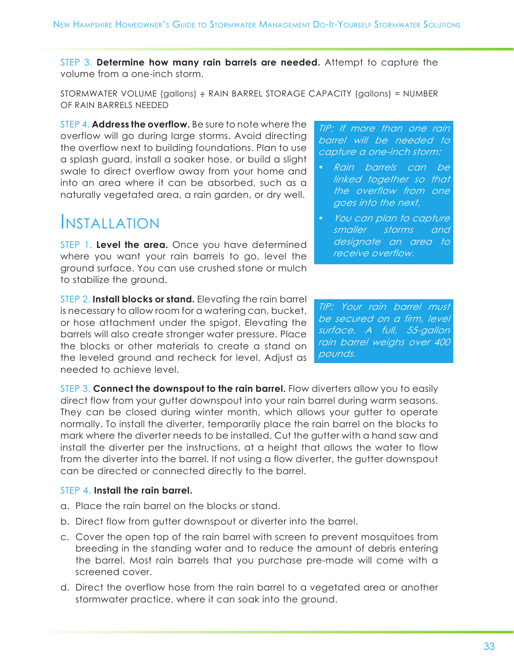STEP 3. **Determine how many rain barrels are needed.** Attempt to capture the volume from a one-inch storm.

STORMWATER VOLUME (gallons) ÷ RAIN BARREL STORAGE CAPACITY (gallons) = NUMBER OF RAIN BARRELS NEEDED

STEP 4. **Address the overflow.** Be sure to note where the overflow will go during large storms. Avoid directing the overflow next to building foundations. Plan to use a splash guard, install a soaker hose, or build a slight swale to direct overflow away from your home and into an area where it can be absorbed, such as a naturally vegetated area, a rain garden, or dry well.

### Installation

STEP 1. **Level the area.** Once you have determined where you want your rain barrels to go, level the ground surface. You can use crushed stone or mulch to stabilize the ground.

STEP 2. **Install blocks or stand.** Elevating the rain barrel is necessary to allow room for a watering can, bucket, or hose attachment under the spigot. Elevating the barrels will also create stronger water pressure. Place the blocks or other materials to create a stand on the leveled ground and recheck for level. Adjust as needed to achieve level.

STEP 3. **Connect the downspout to the rain barrel.** Flow diverters allow you to easily direct flow from your gutter downspout into your rain barrel during warm seasons. They can be closed during winter month, which allows your gutter to operate normally. To install the diverter, temporarily place the rain barrel on the blocks to mark where the diverter needs to be installed. Cut the gutter with a hand saw and install the diverter per the instructions, at a height that allows the water to flow from the diverter into the barrel. If not using a flow diverter, the gutter downspout can be directed or connected directly to the barrel.

#### STEP 4. **Install the rain barrel.**

- a. Place the rain barrel on the blocks or stand.
- b. Direct flow from gutter downspout or diverter into the barrel.
- c. Cover the open top of the rain barrel with screen to prevent mosquitoes from breeding in the standing water and to reduce the amount of debris entering the barrel. Most rain barrels that you purchase pre-made will come with a screened cover.
- d. Direct the overflow hose from the rain barrel to a vegetated area or another stormwater practice, where it can soak into the ground.

TIP: If more than one rain barrel will be needed to capture a one-inch storm:

- Rain barrels can be linked together so that the overflow from one goes into the next.
- You can plan to capture smaller storms and designate an area to receive overflow.

TIP: Your rain barrel must be secured on a firm, level surface. A full, 55-gallon rain barrel weighs over 400 pounds.